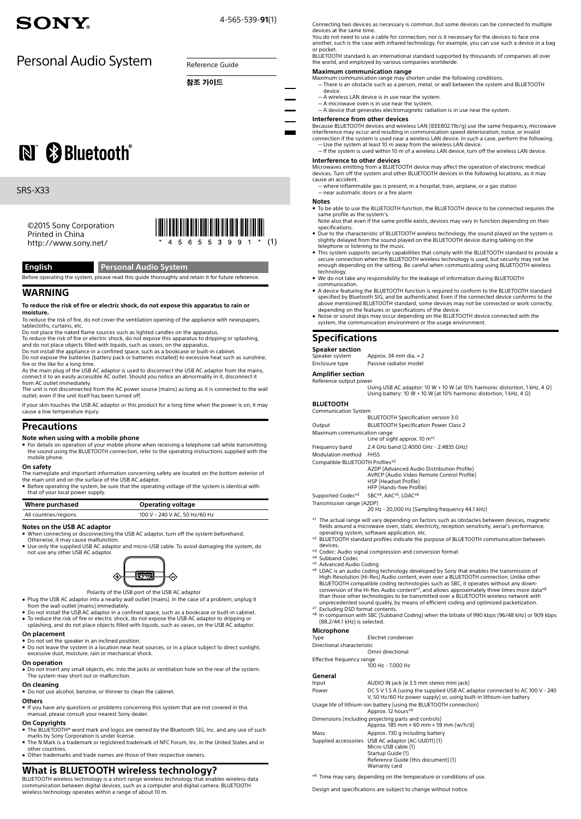# SONY.

4-565-539-**91**(1)

# Personal Audio System Reference Guide

참조 가이드

N & Bluetooth®

# SRS-X33

©2015 Sony Corporation Printed in China http://www.sony.net/



# **English Personal Audio System**

Before operating the system, please read this guide thoroughly and retain it for future reference.

# **WARNING**

### **To reduce the risk of fire or electric shock, do not expose this apparatus to rain or moisture.**

To reduce the risk of fire, do not cover the ventilation opening of the appliance with newspapers, tablecloths, curtains, etc.

Do not place the naked flame sources such as lighted candles on the apparatus. To reduce the risk of fire or electric shock, do not expose this apparatus to dripping or splashing,

and do not place objects filled with liquids, such as vases, on the apparatus. Do not install the appliance in a confined space, such as a bookcase or built-in cabinet. Do not expose the batteries (battery pack or batteries installed) to excessive heat such as sunshine,

fire or the like for a long time. As the main plug of the USB AC adaptor is used to disconnect the USB AC adaptor from the mains, connect it to an easily accessible AC outlet. Should you notice an abnormality in it, disconnect it

from AC outlet immediately.<br>The unit is not disconnected from the AC power source (mains) as long as it is connected to the wall<br>outlet, even if the unit itself has been turned off.

If your skin touches the USB AC adaptor or this product for a long time when the power is on, it may

cause a low temperature injury.

# **Precautions**

# **Note when using with a mobile phone**

ˎˎ For details on operation of your mobile phone when receiving a telephone call while transmitting the sound using the Bluetooth connection, refer to the operating instructions supplied with the mobile phone.

### **On safety**

The nameplate and important information concerning safety are located on the bottom exterior of<br>the main unit and on the surface of the USB AC adaptor.<br>● Before operating the system, be sure that the operating voltage of

that of your local power supply.

| Where purchased       | <b>Operating voltage</b>      |
|-----------------------|-------------------------------|
| All countries/regions | 100 V - 240 V AC, 50 Hz/60 Hz |

## **Notes on the USB AC adaptor**

- 
- When connecting or disconnecting the USB AC adaptor, turn off the system beforehand.<br>○Otherwise, it may cause malfunction.<br>● Use only the supplied USB AC adaptor and micro-USB cable. To avoid damaging the system, do
- not use any other USB AC adaptor.



Polarity of the USB port of the USB AC adaptor

- Plug the USB AC adaptor into a nearby wall outlet (mains). In the case of a problem, unplug it<br>from the wall outlet (mains) immediately.<br>● Do not install the USB AC adaptor in a confined space, such as a bookcase or bui
- ˎˎ To reduce the risk of fire or electric shock, do not expose the USB AC adaptor to dripping or splashing, and do not place objects filled with liquids, such as vases, on the USB AC adaptor.
- **On placement**
- 
- ˎˎ Do not set the speaker in an inclined position. ˎˎ Do not leave the system in a location near heat sources, or in a place subject to direct sunlight, excessive dust, moisture, rain or mechanical shock.

### **On operation**

• Do not insert any small objects, etc. into the jacks or ventilation hole on the rear of the system. The system may short out or malfunction.

### **On cleaning**

 $\bullet$  Do not use alcohol, benzine, or thinner to clean the cabinet.

# **Others**

ˎˎ If you have any questions or problems concerning this system that are not covered in this manual, please consult your nearest Sony dealer.

# **On Copyrights**

- $\bullet$  The BLUETOOTH® word mark and logos are owned by the Bluetooth SIG, Inc. and any use of such marks by Sony Corporation is under license. ˎˎ The N Mark is a trademark or registered trademark of NFC Forum, Inc. in the United States and in
- other countries. • Other trademarks and trade names are those of their respective owners.

# **What is BLUETOOTH wireless technology?**

BLUETOOTH wireless technology is a short-range wireless technology that enables wireless data communication between digital devices, such as a computer and digital camera. Bluetooth wireless technology operates within a range of about 10 m.

Connecting two devices as necessary is common, but some devices can be connected to multiple devices at the same time.

You do not need to use a cable for connection, nor is it necessary for the devices to face one another, such is the case with infrared technology. For example, you can use such a device in a bag

or pocket. Bluetooth standard is an international standard supported by thousands of companies all over the world, and employed by various companies worldwide.

### **Maximum communication range**

- Maximum communication range may shorten under the following conditions.<br>— There is an obstacle such as a person, metal, or wall between the system and BLUETOOTH device.
- 
- A wireless LAN device is in use near the system.<br>— A microwave oven is in use near the system.<br>— A device that generates electromagnetic radiation is in use near the system.
- 

**Interference from other devices**<br>Because BLUETOOTH devices and wireless LAN (IEEE802.11b/g) use the same frequency, microwave

interference may occur and resulting in communication speed deterioration, noise, or invalid<br>connection if the system is used near a wireless LAN device. In such a case, perform the following.<br>— Use the system at least 10

## **Interference to other devices**

**Microwaves emitting from a BLUETOOTH device may affect the operation of electronic medical** devices. Turn off the system and other BLUETOOTH devices in the following locations, as it may<br>cause an accident.

ˋ where inflammable gas is present, in a hospital, train, airplane, or a gas station - near automatic doors or a fire alarm

- **Notes**
- $\bullet$  To be able to use the BLUETOOTH function, the BLUETOOTH device to be connected requires the
- same profile as the system's. Note also that even if the same profile exists, devices may vary in function depending on their specifications.
- $\bullet$  Due to the characteristic of BLUETOOTH wireless technology, the sound played on the system is<br>slightly delayed from the sound played on the BLUETOOTH device during talking on the<br>telephone or listening to the music.
- This system supports security capabilities that comply with the BLUETOOTH standard to provide a •<br>secure connection when the BLUETOOTH wireless technology is used, but security may not be<br>enough depending on the setting. B technology.
- verthing the any responsibility for the leakage of information during BLUETOOTH
- communication. A device featuring the BLUETOOTH function is required to conform to the BLUETOOTH standard<br>specified by Bluetooth SIG, and be authenticated. Even if the connected device conforms to the<br>above mentioned BLUETOOTH standard, depending on the features or specifications of the device.
- ˎˎ Noise or sound skips may occur depending on the Bluetooth device connected with the system, the communication environment or the usage environment.

# **Specifications**

# **Speaker section**

| Speaker system | Approx. 34 mm dia. $\times$ 2 |
|----------------|-------------------------------|
| Enclosure type | Passive radiator model        |

### **Amplifier section** ence output power

Using USB AC adaptor: 10 W + 10 W (at 10% harmonic distortion, 1 kHz, 4 Ω) Using battery: 10 W + 10 W (at 10% harmonic distortion, 1 kHz, 4 Ω)

# **Bluetoot h**

| <b>Communication System</b>     |                                                 |
|---------------------------------|-------------------------------------------------|
|                                 | <b>BLUETOOTH Specification version 3.0</b>      |
| Output                          | <b>BLUETOOTH Specification Power Class 2</b>    |
| Maximum communication range     |                                                 |
|                                 | Line of sight approx. 10 $m*1$                  |
| Frequency band                  | 2.4 GHz band (2.4000 GHz - 2.4835 GHz)          |
| Modulation method               | <b>FHSS</b>                                     |
| Compatible BLUETOOTH Profiles*2 |                                                 |
|                                 | A2DP (Advanced Audio Distribution Profile)      |
|                                 | AVRCP (Audio Video Remote Control Profile)      |
|                                 | <b>HSP (Headset Profile)</b>                    |
|                                 | HFP (Hands-free Profile)                        |
| Supported Codec*3               | SBC*4, AAC*5, LDAC*6                            |
| Transmission range (A2DP)       |                                                 |
|                                 | 20 Hz - 20,000 Hz (Sampling frequency 44.1 kHz) |

\*1 The actual range will vary depending on factors such as obstacles between devices, magnetic fields around a microwave oven, static electricity, reception sensitivity, aerial's performance,

- operating system, software application, etc.<br>\*2 BLUETOOTH standard profiles indicate the purpose of BLUETOOTH communication between devices.
- \*3 Codec: Audio signal compression and conversion format
- Subband Codec \*5 Advanced Audio Coding
- \*6 LDAC is an audio coding technology developed by Sony that enables the transmission of High-Resolution (Hi-Res) Audio content, even over a BLUETOOTH connection. Unlike other BLUETOOTH compatible coding technologies such as SBC, it operates without any down-<br>conversion of the Hi-Res Audio content\*7, and allows approximately three times more data\*<sup>8</sup><br>than those other technologies to be transmitt unprecedented sound quality, by means of efficient coding and optimized packetization.
- 
- \*7 Excluding DSD format contents. \*8 In comparison with SBC (Subband Coding) when the bitrate of 990 kbps (96/48 kHz) or 909 kbps (88.2/44.1 kHz) is selected.

# **Microphone**<br>Type

Electret condenser

Directional characteristic<br>Omni directional

Omni directional Effective frequency range 100 Hz - 7,000 Hz

### **General**

| ------- |                                                                                                                                                    |
|---------|----------------------------------------------------------------------------------------------------------------------------------------------------|
| Input   | AUDIO IN jack (ø 3.5 mm stereo mini jack)                                                                                                          |
| Power   | DC 5 V 1.5 A (using the supplied USB AC adaptor connected to AC 100 V - 240<br>V, 50 Hz/60 Hz power supply) or, using built-in lithium-ion battery |
|         | Usage life of lithium-ion battery (using the BLUETOOTH connection)<br>Approx, 12 hours*9                                                           |
|         | Dimensions (including projecting parts and controls)<br>Approx. 185 mm $\times$ 60 mm $\times$ 59 mm (w/h/d)                                       |
| Mass    | Approx. 730 g including battery                                                                                                                    |
|         | Supplied accessories USB AC adaptor (AC-UUD11) (1)                                                                                                 |
|         | Micro-USB cable (1)                                                                                                                                |
|         | Startup Guide (1)                                                                                                                                  |
|         | Reference Guide (this document) (1)                                                                                                                |
|         | Warranty card                                                                                                                                      |

\*9 Time may vary, depending on the temperature or conditions of use.

Design and specifications are subject to change without notice.